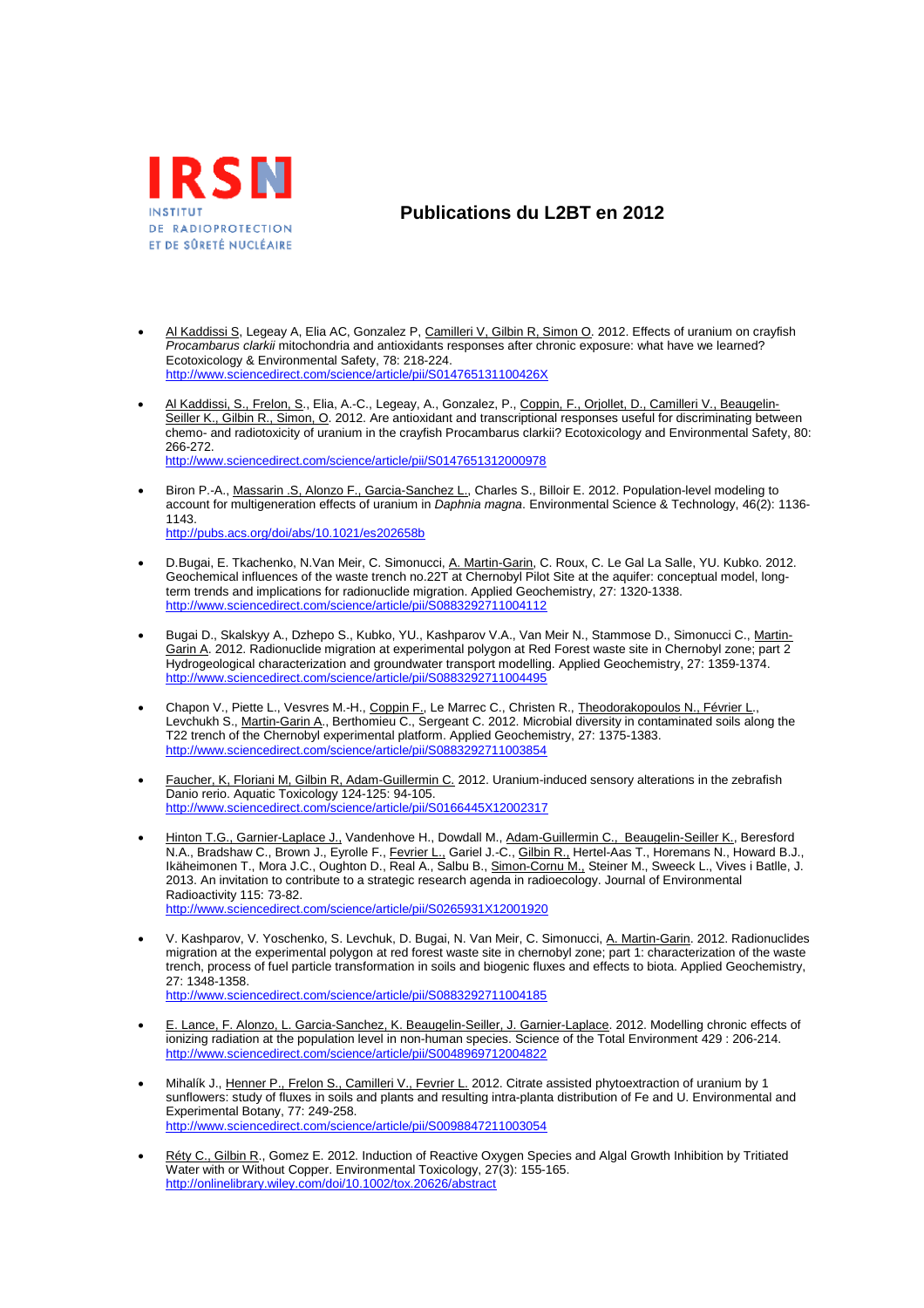

## **Publications du L2BT en 2012**

- Al Kaddissi S, Legeay A, Elia AC, Gonzalez P, Camilleri V, Gilbin R, Simon O. 2012. Effects of uranium on crayfish *Procambarus clarkii* mitochondria and antioxidants responses after chronic exposure: what have we learned? Ecotoxicology & Environmental Safety, 78: 218-224. http://www.sciencedirect.com/science/article/pii/S014765131100426X
- Al Kaddissi, S., Frelon, S., Elia, A.-C., Legeay, A., Gonzalez, P., Coppin, F., Orjollet, D., Camilleri V., Beaugelin-Seiller K., Gilbin R., Simon, O. 2012. Are antioxidant and transcriptional responses useful for discriminating between chemo- and radiotoxicity of uranium in the crayfish Procambarus clarkii? Ecotoxicology and Environmental Safety, 80: 266-272. http://www.sciencedirect.com/science/article/pii/S0147651312000978
- Biron P.-A., Massarin .S, Alonzo F., Garcia-Sanchez L., Charles S., Billoir E. 2012. Population-level modeling to account for multigeneration effects of uranium in *Daphnia magna*. Environmental Science & Technology, 46(2): 1136- 1143. http://pubs.acs.org/doi/abs/10.1021/es202658b
- D.Bugai, E. Tkachenko, N.Van Meir, C. Simonucci, A. Martin-Garin, C. Roux, C. Le Gal La Salle, YU. Kubko. 2012. Geochemical influences of the waste trench no.22T at Chernobyl Pilot Site at the aquifer: conceptual model, longterm trends and implications for radionuclide migration. Applied Geochemistry, 27: 1320-1338. http://www.sciencedirect.com/science/article/pii/S0883292711004112
- Bugai D., Skalskyy A., Dzhepo S., Kubko, YU., Kashparov V.A., Van Meir N., Stammose D., Simonucci C., Martin-Garin A. 2012. Radionuclide migration at experimental polygon at Red Forest waste site in Chernobyl zone; part 2 Hydrogeological characterization and groundwater transport modelling. Applied Geochemistry, 27: 1359-1374. http://www.sciencedirect.com/science/article/pii/S0883292711004495
- Chapon V., Piette L., Vesvres M.-H., Coppin F., Le Marrec C., Christen R., Theodorakopoulos N., Février L., Levchukh S., Martin-Garin A., Berthomieu C., Sergeant C. 2012. Microbial diversity in contaminated soils along the T22 trench of the Chernobyl experimental platform. Applied Geochemistry, 27: 1375-1383. http://www.sciencedirect.com/science/article/pii/S0883292711003854
- Faucher, K, Floriani M, Gilbin R, Adam-Guillermin C. 2012. Uranium-induced sensory alterations in the zebrafish Danio rerio. Aquatic Toxicology 124-125: 94-105. http://www.sciencedirect.com/science/article/pii/S0166445X12002317
- Hinton T.G., Garnier-Laplace J., Vandenhove H., Dowdall M., Adam-Guillermin C., Beaugelin-Seiller K., Beresford N.A., Bradshaw C., Brown J., Eyrolle F., <u>Fevrier L.,</u> Gariel J.-C., <u>Gilbin R.,</u> Hertel-Aas T., Horemans N., Howard B.J., Ikäheimonen T., Mora J.C., Oughton D., Real A., Salbu B., <u>Simon-Cornu M.,</u> Steiner M., Sweeck L., Vives i Batlle, J. 2013. An invitation to contribute to a strategic research agenda in radioecology. Journal of Environmental Radioactivity 115: 73-82. http://www.sciencedirect.com/science/article/pii/S0265931X12001920
- V. Kashparov, V. Yoschenko, S. Levchuk, D. Bugai, N. Van Meir, C. Simonucci, A. Martin-Garin. 2012. Radionuclides migration at the experimental polygon at red forest waste site in chernobyl zone; part 1: characterization of the waste trench, process of fuel particle transformation in soils and biogenic fluxes and effects to biota. Applied Geochemistry, 27: 1348-1358. http://www.sciencedirect.com/science/article/pii/S0883292711004185
- **E. Lance, F. Alonzo, L. Garcia-Sanchez, K. Beaugelin-Seiller, J. Garnier-Laplace. 2012. Modelling chronic effects of**
- ionizing radiation at the population level in non-human species. Science of the Total Environment 429 : 206-214. http://www.sciencedirect.com/science/article/pii/S0048969712004822
- Mihalík J., Henner P., Frelon S., Camilleri V., Fevrier L. 2012. Citrate assisted phytoextraction of uranium by 1 sunflowers: study of fluxes in soils and plants and resulting intra-planta distribution of Fe and U. Environmental and Experimental Botany, 77: 249-258. http://www.sciencedirect.com/science/article/pii/S0098847211003054
- Réty C., Gilbin R., Gomez E. 2012. Induction of Reactive Oxygen Species and Algal Growth Inhibition by Tritiated Water with or Without Copper. Environmental Toxicology, 27(3): 155-165. http://onlinelibrary.wiley.com/doi/10.1002/tox.20626/abstract